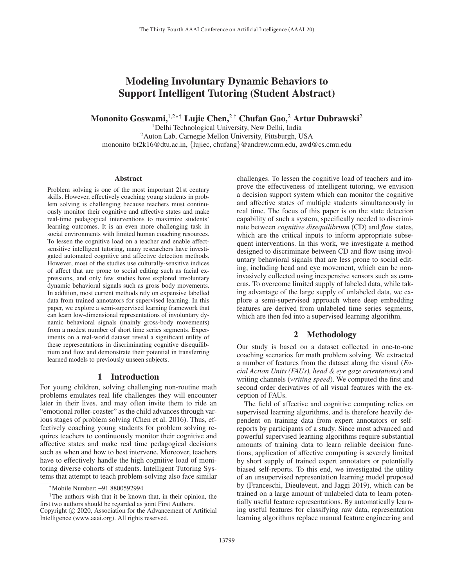# Modeling Involuntary Dynamic Behaviors to Support Intelligent Tutoring (Student Abstract)

Mononito Goswami,<sup>1,2∗†</sup> Lujie Chen,<sup>2†</sup> Chufan Gao,<sup>2</sup> Artur Dubrawski<sup>2</sup>

<sup>1</sup>Delhi Technological University, New Delhi, India <sup>2</sup> Auton Lab, Carnegie Mellon University, Pittsburgh, USA mononito bt2k16@dtu.ac.in, {lujiec, chufang}@andrew.cmu.edu, awd@cs.cmu.edu

#### Abstract

Problem solving is one of the most important 21st century skills. However, effectively coaching young students in problem solving is challenging because teachers must continuously monitor their cognitive and affective states and make real-time pedagogical interventions to maximize students' learning outcomes. It is an even more challenging task in social environments with limited human coaching resources. To lessen the cognitive load on a teacher and enable affectsensitive intelligent tutoring, many researchers have investigated automated cognitive and affective detection methods. However, most of the studies use culturally-sensitive indices of affect that are prone to social editing such as facial expressions, and only few studies have explored involuntary dynamic behavioral signals such as gross body movements. In addition, most current methods rely on expensive labelled data from trained annotators for supervised learning. In this paper, we explore a semi-supervised learning framework that can learn low-dimensional representations of involuntary dynamic behavioral signals (mainly gross-body movements) from a modest number of short time series segments. Experiments on a real-world dataset reveal a significant utility of these representations in discriminating cognitive disequilibrium and flow and demonstrate their potential in transferring learned models to previously unseen subjects.

#### 1 Introduction

For young children, solving challenging non-routine math problems emulates real life challenges they will encounter later in their lives, and may often invite them to ride an "emotional roller-coaster" as the child advances through various stages of problem solving (Chen et al. 2016). Thus, effectively coaching young students for problem solving requires teachers to continuously monitor their cognitive and affective states and make real time pedagogical decisions such as when and how to best intervene. Moreover, teachers have to effectively handle the high cognitive load of monitoring diverse cohorts of students. Intelligent Tutoring Systems that attempt to teach problem-solving also face similar challenges. To lessen the cognitive load of teachers and improve the effectiveness of intelligent tutoring, we envision a decision support system which can monitor the cognitive and affective states of multiple students simultaneously in real time. The focus of this paper is on the state detection capability of such a system, specifically needed to discriminate between *cognitive disequilibrium* (CD) and *flow* states, which are the critical inputs to inform appropriate subsequent interventions. In this work, we investigate a method designed to discriminate between CD and flow using involuntary behavioral signals that are less prone to social editing, including head and eye movement, which can be noninvasively collected using inexpensive sensors such as cameras. To overcome limited supply of labeled data, while taking advantage of the large supply of unlabeled data, we explore a semi-supervised approach where deep embedding features are derived from unlabeled time series segments, which are then fed into a supervised learning algorithm.

## 2 Methodology

Our study is based on a dataset collected in one-to-one coaching scenarios for math problem solving. We extracted a number of features from the dataset along the visual (*Facial Action Units (FAUs), head & eye gaze orientations*) and writing channels (*writing speed*). We computed the first and second order derivatives of all visual features with the exception of FAUs.

The field of affective and cognitive computing relies on supervised learning algorithms, and is therefore heavily dependent on training data from expert annotators or selfreports by participants of a study. Since most advanced and powerful supervised learning algorithms require substantial amounts of training data to learn reliable decision functions, application of affective computing is severely limited by short supply of trained expert annotators or potentially biased self-reports. To this end, we investigated the utility of an unsupervised representation learning model proposed by (Franceschi, Dieuleveut, and Jaggi 2019), which can be trained on a large amount of unlabeled data to learn potentially useful feature representations. By automatically learning useful features for classifying raw data, representation learning algorithms replace manual feature engineering and

<sup>∗</sup>Mobile Number: +91 8800592994

<sup>&</sup>lt;sup>†</sup>The authors wish that it be known that, in their opinion, the first two authors should be regarded as joint First Authors. Copyright  $\odot$  2020, Association for the Advancement of Artificial Intelligence (www.aaai.org). All rights reserved.